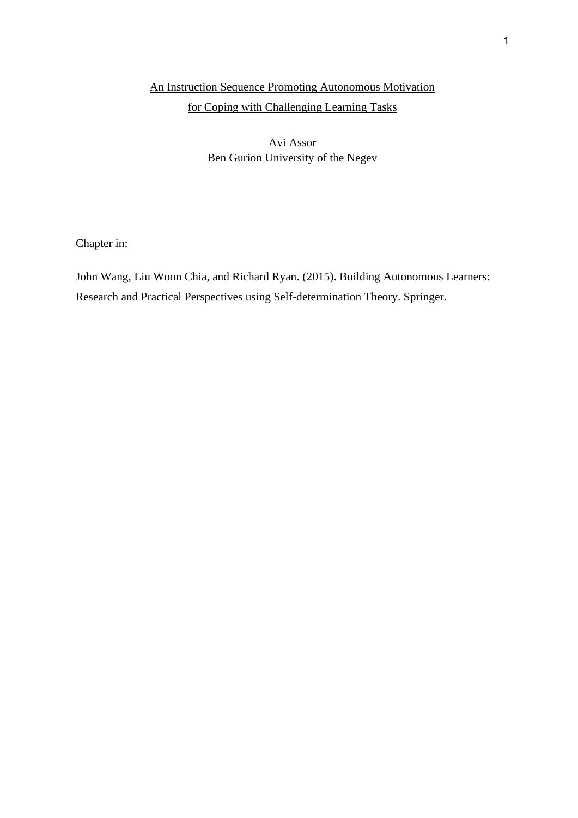## An Instruction Sequence Promoting Autonomous Motivation for Coping with Challenging Learning Tasks

Avi Assor Ben Gurion University of the Negev

Chapter in:

John Wang, Liu Woon Chia, and Richard Ryan. (2015). Building Autonomous Learners: Research and Practical Perspectives using Self-determination Theory. Springer.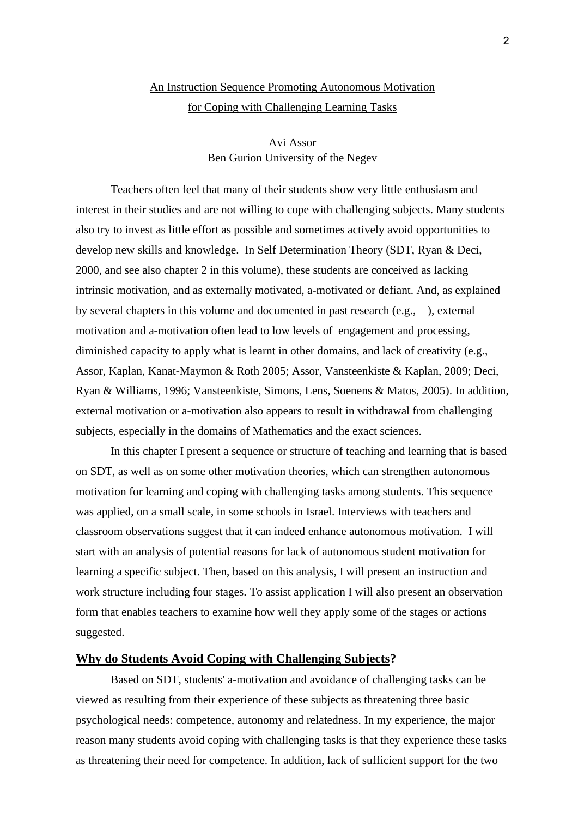## An Instruction Sequence Promoting Autonomous Motivation for Coping with Challenging Learning Tasks

### Avi Assor Ben Gurion University of the Negev

Teachers often feel that many of their students show very little enthusiasm and interest in their studies and are not willing to cope with challenging subjects. Many students also try to invest as little effort as possible and sometimes actively avoid opportunities to develop new skills and knowledge. In Self Determination Theory (SDT, Ryan & Deci, 2000, and see also chapter 2 in this volume), these students are conceived as lacking intrinsic motivation, and as externally motivated, a-motivated or defiant. And, as explained by several chapters in this volume and documented in past research (e.g., ), external motivation and a-motivation often lead to low levels of engagement and processing, diminished capacity to apply what is learnt in other domains, and lack of creativity (e.g., Assor, Kaplan, Kanat-Maymon & Roth 2005; Assor, Vansteenkiste & Kaplan, 2009; Deci, Ryan & Williams, 1996; Vansteenkiste, Simons, Lens, Soenens & Matos, 2005). In addition, external motivation or a-motivation also appears to result in withdrawal from challenging subjects, especially in the domains of Mathematics and the exact sciences.

In this chapter I present a sequence or structure of teaching and learning that is based on SDT, as well as on some other motivation theories, which can strengthen autonomous motivation for learning and coping with challenging tasks among students. This sequence was applied, on a small scale, in some schools in Israel. Interviews with teachers and classroom observations suggest that it can indeed enhance autonomous motivation. I will start with an analysis of potential reasons for lack of autonomous student motivation for learning a specific subject. Then, based on this analysis, I will present an instruction and work structure including four stages. To assist application I will also present an observation form that enables teachers to examine how well they apply some of the stages or actions suggested.

### **Why do Students Avoid Coping with Challenging Subjects?**

Based on SDT, students' a-motivation and avoidance of challenging tasks can be viewed as resulting from their experience of these subjects as threatening three basic psychological needs: competence, autonomy and relatedness. In my experience, the major reason many students avoid coping with challenging tasks is that they experience these tasks as threatening their need for competence. In addition, lack of sufficient support for the two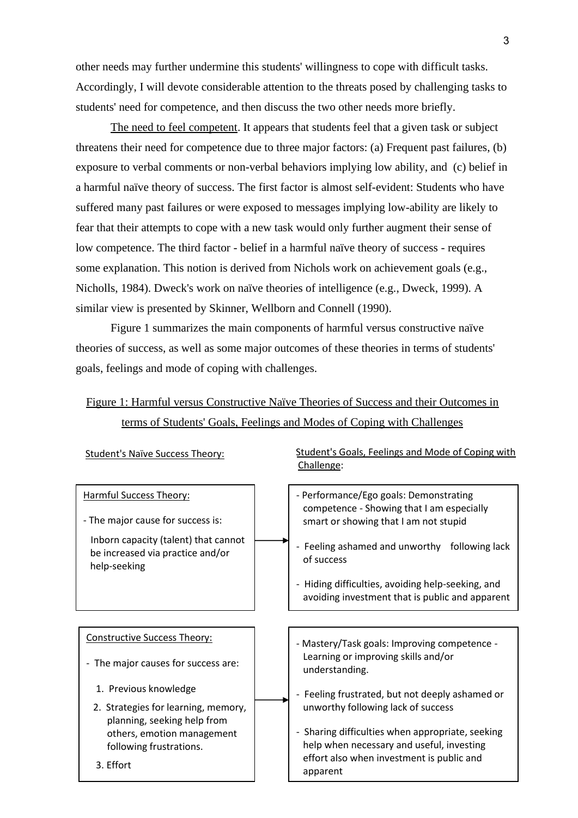other needs may further undermine this students' willingness to cope with difficult tasks. Accordingly, I will devote considerable attention to the threats posed by challenging tasks to students' need for competence, and then discuss the two other needs more briefly.

The need to feel competent. It appears that students feel that a given task or subject threatens their need for competence due to three major factors: (a) Frequent past failures, (b) exposure to verbal comments or non-verbal behaviors implying low ability, and (c) belief in a harmful naïve theory of success. The first factor is almost self-evident: Students who have suffered many past failures or were exposed to messages implying low-ability are likely to fear that their attempts to cope with a new task would only further augment their sense of low competence. The third factor - belief in a harmful naïve theory of success - requires some explanation. This notion is derived from Nichols work on achievement goals (e.g., Nicholls, 1984). Dweck's work on naïve theories of intelligence (e.g., Dweck, 1999). A similar view is presented by Skinner, Wellborn and Connell (1990).

Figure 1 summarizes the main components of harmful versus constructive naïve theories of success, as well as some major outcomes of these theories in terms of students' goals, feelings and mode of coping with challenges.

## Figure 1: Harmful versus Constructive Naïve Theories of Success and their Outcomes in terms of Students' Goals, Feelings and Modes of Coping with Challenges

| <b>Student's Naïve Success Theory:</b>                                                                                                                          | Student's Goals, Feelings and Mode of Coping with<br>Challenge:                                                                                                                                                                                  |
|-----------------------------------------------------------------------------------------------------------------------------------------------------------------|--------------------------------------------------------------------------------------------------------------------------------------------------------------------------------------------------------------------------------------------------|
| <b>Harmful Success Theory:</b><br>- The major cause for success is:<br>Inborn capacity (talent) that cannot<br>be increased via practice and/or<br>help-seeking | - Performance/Ego goals: Demonstrating<br>competence - Showing that I am especially<br>smart or showing that I am not stupid<br>- Feeling ashamed and unworthy following lack<br>of success<br>- Hiding difficulties, avoiding help-seeking, and |
|                                                                                                                                                                 | avoiding investment that is public and apparent                                                                                                                                                                                                  |
| <b>Constructive Success Theory:</b>                                                                                                                             |                                                                                                                                                                                                                                                  |
| - The major causes for success are:                                                                                                                             | - Mastery/Task goals: Improving competence -<br>Learning or improving skills and/or<br>understanding.                                                                                                                                            |
| 1. Previous knowledge                                                                                                                                           | - Feeling frustrated, but not deeply ashamed or                                                                                                                                                                                                  |
| 2. Strategies for learning, memory,<br>planning, seeking help from                                                                                              | unworthy following lack of success                                                                                                                                                                                                               |
| others, emotion management<br>following frustrations.                                                                                                           | - Sharing difficulties when appropriate, seeking<br>help when necessary and useful, investing                                                                                                                                                    |
| 3. Effort                                                                                                                                                       | effort also when investment is public and<br>apparent                                                                                                                                                                                            |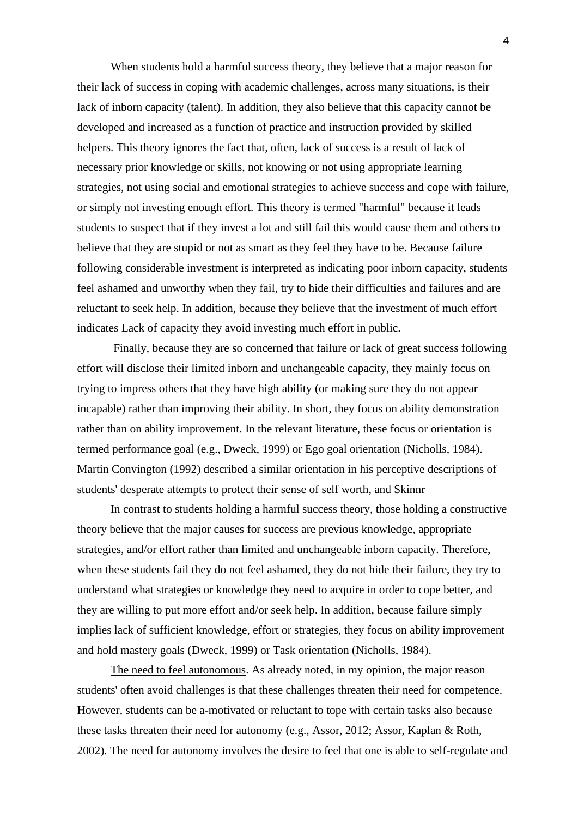When students hold a harmful success theory, they believe that a major reason for their lack of success in coping with academic challenges, across many situations, is their lack of inborn capacity (talent). In addition, they also believe that this capacity cannot be developed and increased as a function of practice and instruction provided by skilled helpers. This theory ignores the fact that, often, lack of success is a result of lack of necessary prior knowledge or skills, not knowing or not using appropriate learning strategies, not using social and emotional strategies to achieve success and cope with failure, or simply not investing enough effort. This theory is termed "harmful" because it leads students to suspect that if they invest a lot and still fail this would cause them and others to believe that they are stupid or not as smart as they feel they have to be. Because failure following considerable investment is interpreted as indicating poor inborn capacity, students feel ashamed and unworthy when they fail, try to hide their difficulties and failures and are reluctant to seek help. In addition, because they believe that the investment of much effort indicates Lack of capacity they avoid investing much effort in public.

Finally, because they are so concerned that failure or lack of great success following effort will disclose their limited inborn and unchangeable capacity, they mainly focus on trying to impress others that they have high ability (or making sure they do not appear incapable) rather than improving their ability. In short, they focus on ability demonstration rather than on ability improvement. In the relevant literature, these focus or orientation is termed performance goal (e.g., Dweck, 1999) or Ego goal orientation (Nicholls, 1984). Martin Convington (1992) described a similar orientation in his perceptive descriptions of students' desperate attempts to protect their sense of self worth, and Skinnr

In contrast to students holding a harmful success theory, those holding a constructive theory believe that the major causes for success are previous knowledge, appropriate strategies, and/or effort rather than limited and unchangeable inborn capacity. Therefore, when these students fail they do not feel ashamed, they do not hide their failure, they try to understand what strategies or knowledge they need to acquire in order to cope better, and they are willing to put more effort and/or seek help. In addition, because failure simply implies lack of sufficient knowledge, effort or strategies, they focus on ability improvement and hold mastery goals (Dweck, 1999) or Task orientation (Nicholls, 1984).

The need to feel autonomous. As already noted, in my opinion, the major reason students' often avoid challenges is that these challenges threaten their need for competence. However, students can be a-motivated or reluctant to tope with certain tasks also because these tasks threaten their need for autonomy (e.g., Assor, 2012; Assor, Kaplan & Roth, 2002). The need for autonomy involves the desire to feel that one is able to self-regulate and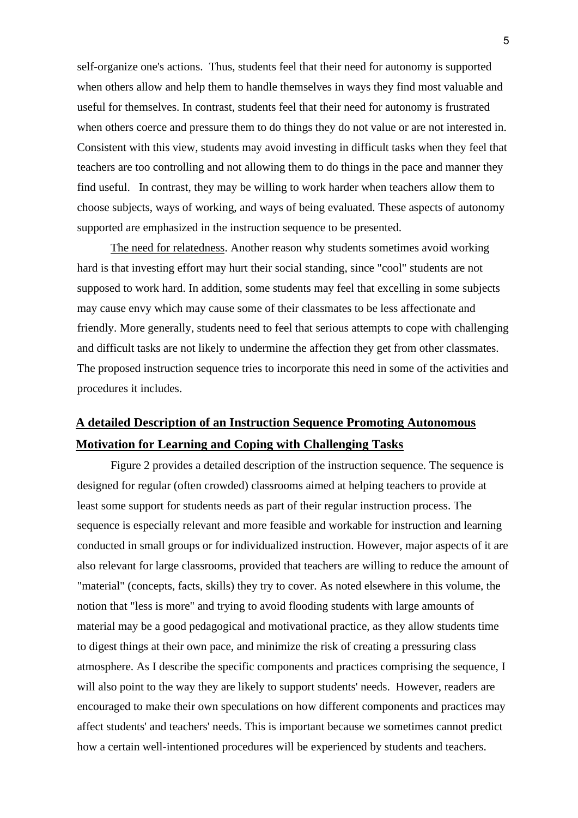self-organize one's actions. Thus, students feel that their need for autonomy is supported when others allow and help them to handle themselves in ways they find most valuable and useful for themselves. In contrast, students feel that their need for autonomy is frustrated when others coerce and pressure them to do things they do not value or are not interested in. Consistent with this view, students may avoid investing in difficult tasks when they feel that teachers are too controlling and not allowing them to do things in the pace and manner they find useful. In contrast, they may be willing to work harder when teachers allow them to choose subjects, ways of working, and ways of being evaluated. These aspects of autonomy supported are emphasized in the instruction sequence to be presented.

The need for relatedness. Another reason why students sometimes avoid working hard is that investing effort may hurt their social standing, since "cool" students are not supposed to work hard. In addition, some students may feel that excelling in some subjects may cause envy which may cause some of their classmates to be less affectionate and friendly. More generally, students need to feel that serious attempts to cope with challenging and difficult tasks are not likely to undermine the affection they get from other classmates. The proposed instruction sequence tries to incorporate this need in some of the activities and procedures it includes.

## **A detailed Description of an Instruction Sequence Promoting Autonomous Motivation for Learning and Coping with Challenging Tasks**

Figure 2 provides a detailed description of the instruction sequence. The sequence is designed for regular (often crowded) classrooms aimed at helping teachers to provide at least some support for students needs as part of their regular instruction process. The sequence is especially relevant and more feasible and workable for instruction and learning conducted in small groups or for individualized instruction. However, major aspects of it are also relevant for large classrooms, provided that teachers are willing to reduce the amount of "material" (concepts, facts, skills) they try to cover. As noted elsewhere in this volume, the notion that "less is more" and trying to avoid flooding students with large amounts of material may be a good pedagogical and motivational practice, as they allow students time to digest things at their own pace, and minimize the risk of creating a pressuring class atmosphere. As I describe the specific components and practices comprising the sequence, I will also point to the way they are likely to support students' needs. However, readers are encouraged to make their own speculations on how different components and practices may affect students' and teachers' needs. This is important because we sometimes cannot predict how a certain well-intentioned procedures will be experienced by students and teachers.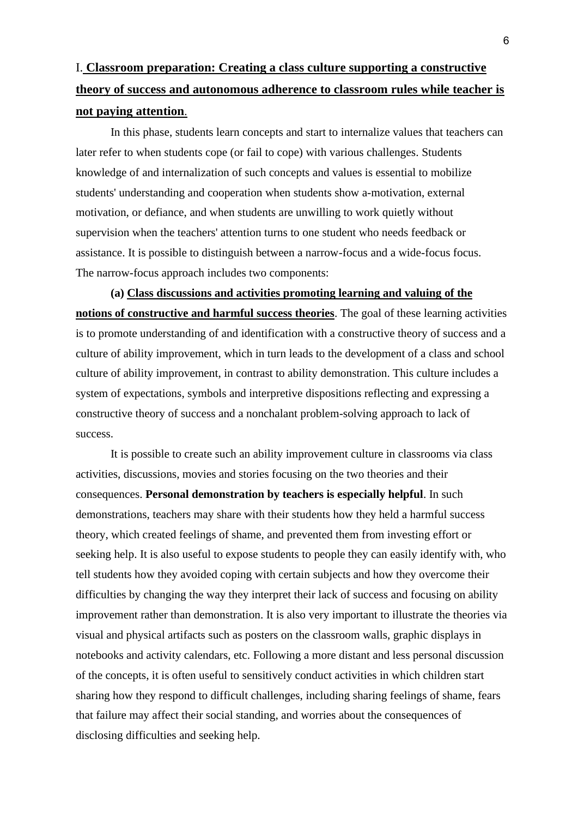# I. **Classroom preparation: Creating a class culture supporting a constructive theory of success and autonomous adherence to classroom rules while teacher is not paying attention**.

In this phase, students learn concepts and start to internalize values that teachers can later refer to when students cope (or fail to cope) with various challenges. Students knowledge of and internalization of such concepts and values is essential to mobilize students' understanding and cooperation when students show a-motivation, external motivation, or defiance, and when students are unwilling to work quietly without supervision when the teachers' attention turns to one student who needs feedback or assistance. It is possible to distinguish between a narrow-focus and a wide-focus focus. The narrow-focus approach includes two components:

 **(a) Class discussions and activities promoting learning and valuing of the notions of constructive and harmful success theories**. The goal of these learning activities is to promote understanding of and identification with a constructive theory of success and a culture of ability improvement, which in turn leads to the development of a class and school culture of ability improvement, in contrast to ability demonstration. This culture includes a system of expectations, symbols and interpretive dispositions reflecting and expressing a constructive theory of success and a nonchalant problem-solving approach to lack of success.

It is possible to create such an ability improvement culture in classrooms via class activities, discussions, movies and stories focusing on the two theories and their consequences. **Personal demonstration by teachers is especially helpful**. In such demonstrations, teachers may share with their students how they held a harmful success theory, which created feelings of shame, and prevented them from investing effort or seeking help. It is also useful to expose students to people they can easily identify with, who tell students how they avoided coping with certain subjects and how they overcome their difficulties by changing the way they interpret their lack of success and focusing on ability improvement rather than demonstration. It is also very important to illustrate the theories via visual and physical artifacts such as posters on the classroom walls, graphic displays in notebooks and activity calendars, etc. Following a more distant and less personal discussion of the concepts, it is often useful to sensitively conduct activities in which children start sharing how they respond to difficult challenges, including sharing feelings of shame, fears that failure may affect their social standing, and worries about the consequences of disclosing difficulties and seeking help.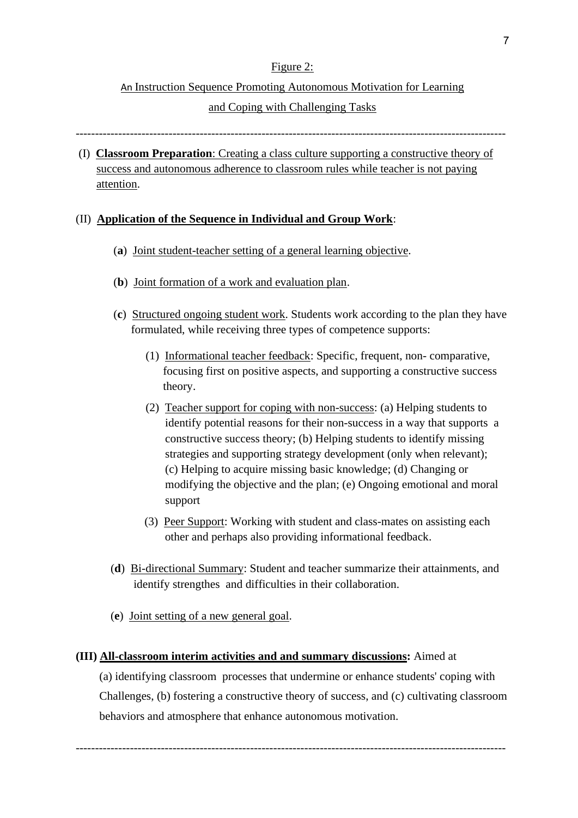### Figure 2:

### An Instruction Sequence Promoting Autonomous Motivation for Learning

### and Coping with Challenging Tasks

---------------------------------------------------------------------------------------------------------------

(I) **Classroom Preparation**: Creating a class culture supporting a constructive theory of success and autonomous adherence to classroom rules while teacher is not paying attention.

### (II) **Application of the Sequence in Individual and Group Work**:

- (**a**) Joint student-teacher setting of a general learning objective.
- (**b**) Joint formation of a work and evaluation plan.
- (**c**) Structured ongoing student work. Students work according to the plan they have formulated, while receiving three types of competence supports:
	- (1) Informational teacher feedback: Specific, frequent, non- comparative, focusing first on positive aspects, and supporting a constructive success theory.
	- (2) Teacher support for coping with non-success: (a) Helping students to identify potential reasons for their non-success in a way that supports a constructive success theory; (b) Helping students to identify missing strategies and supporting strategy development (only when relevant); (c) Helping to acquire missing basic knowledge; (d) Changing or modifying the objective and the plan; (e) Ongoing emotional and moral support
	- (3) Peer Support: Working with student and class-mates on assisting each other and perhaps also providing informational feedback.
- (**d**) Bi-directional Summary: Student and teacher summarize their attainments, and identify strengthes and difficulties in their collaboration.
- (**e**) Joint setting of a new general goal.

### **(III) All-classroom interim activities and and summary discussions:** Aimed at

(a) identifying classroom processes that undermine or enhance students' coping with Challenges, (b) fostering a constructive theory of success, and (c) cultivating classroom behaviors and atmosphere that enhance autonomous motivation.

---------------------------------------------------------------------------------------------------------------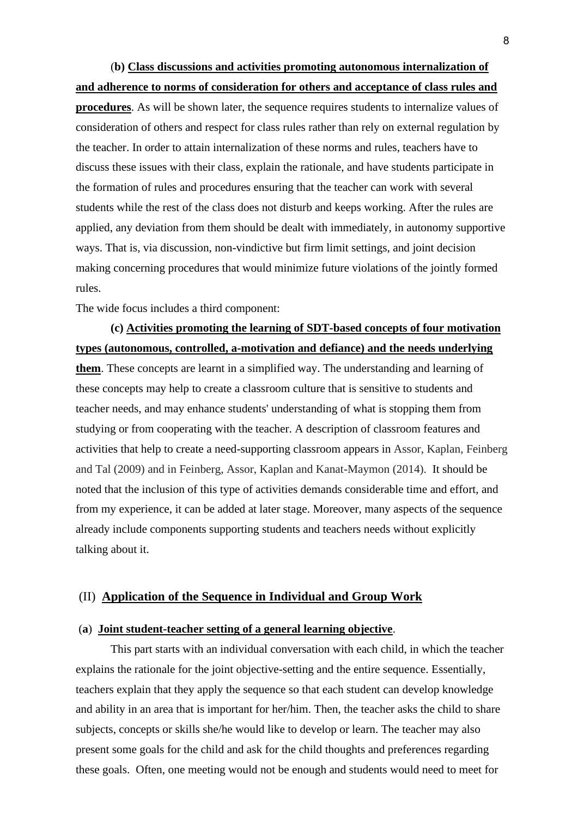(**b) Class discussions and activities promoting autonomous internalization of and adherence to norms of consideration for others and acceptance of class rules and procedures**. As will be shown later, the sequence requires students to internalize values of consideration of others and respect for class rules rather than rely on external regulation by the teacher. In order to attain internalization of these norms and rules, teachers have to discuss these issues with their class, explain the rationale, and have students participate in the formation of rules and procedures ensuring that the teacher can work with several students while the rest of the class does not disturb and keeps working. After the rules are applied, any deviation from them should be dealt with immediately, in autonomy supportive ways. That is, via discussion, non-vindictive but firm limit settings, and joint decision making concerning procedures that would minimize future violations of the jointly formed rules.

The wide focus includes a third component:

**(c) Activities promoting the learning of SDT-based concepts of four motivation types (autonomous, controlled, a-motivation and defiance) and the needs underlying them**. These concepts are learnt in a simplified way. The understanding and learning of these concepts may help to create a classroom culture that is sensitive to students and teacher needs, and may enhance students' understanding of what is stopping them from studying or from cooperating with the teacher. A description of classroom features and activities that help to create a need-supporting classroom appears in Assor, Kaplan, Feinberg and Tal (2009) and in Feinberg, Assor, Kaplan and Kanat-Maymon (2014). It should be noted that the inclusion of this type of activities demands considerable time and effort, and from my experience, it can be added at later stage. Moreover, many aspects of the sequence already include components supporting students and teachers needs without explicitly talking about it.

### (II) **Application of the Sequence in Individual and Group Work**

#### (**a**) **Joint student-teacher setting of a general learning objective**.

 This part starts with an individual conversation with each child, in which the teacher explains the rationale for the joint objective-setting and the entire sequence. Essentially, teachers explain that they apply the sequence so that each student can develop knowledge and ability in an area that is important for her/him. Then, the teacher asks the child to share subjects, concepts or skills she/he would like to develop or learn. The teacher may also present some goals for the child and ask for the child thoughts and preferences regarding these goals. Often, one meeting would not be enough and students would need to meet for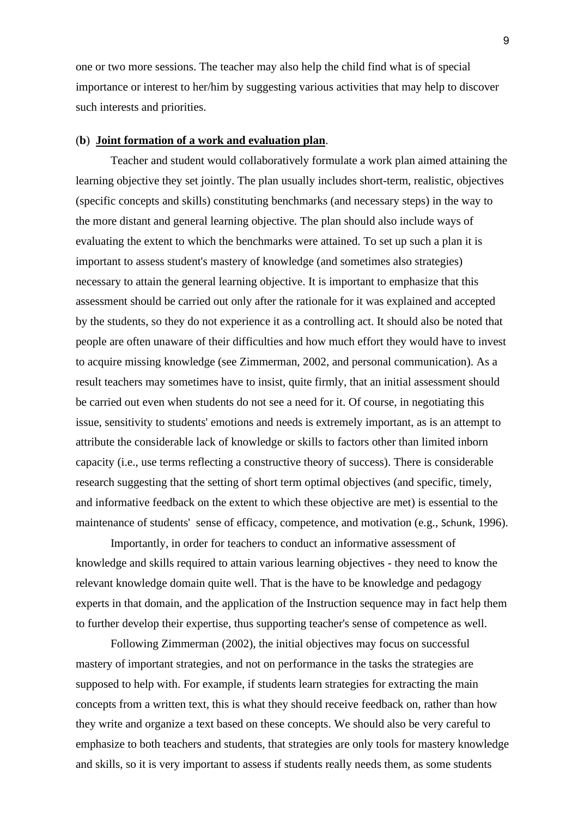one or two more sessions. The teacher may also help the child find what is of special importance or interest to her/him by suggesting various activities that may help to discover such interests and priorities.

### (**b**) **Joint formation of a work and evaluation plan**.

Teacher and student would collaboratively formulate a work plan aimed attaining the learning objective they set jointly. The plan usually includes short-term, realistic, objectives (specific concepts and skills) constituting benchmarks (and necessary steps) in the way to the more distant and general learning objective. The plan should also include ways of evaluating the extent to which the benchmarks were attained. To set up such a plan it is important to assess student's mastery of knowledge (and sometimes also strategies) necessary to attain the general learning objective. It is important to emphasize that this assessment should be carried out only after the rationale for it was explained and accepted by the students, so they do not experience it as a controlling act. It should also be noted that people are often unaware of their difficulties and how much effort they would have to invest to acquire missing knowledge (see Zimmerman, 2002, and personal communication). As a result teachers may sometimes have to insist, quite firmly, that an initial assessment should be carried out even when students do not see a need for it. Of course, in negotiating this issue, sensitivity to students' emotions and needs is extremely important, as is an attempt to attribute the considerable lack of knowledge or skills to factors other than limited inborn capacity (i.e., use terms reflecting a constructive theory of success). There is considerable research suggesting that the setting of short term optimal objectives (and specific, timely, and informative feedback on the extent to which these objective are met) is essential to the maintenance of students' sense of efficacy, competence, and motivation (e.g., Schunk, 1996).

Importantly, in order for teachers to conduct an informative assessment of knowledge and skills required to attain various learning objectives - they need to know the relevant knowledge domain quite well. That is the have to be knowledge and pedagogy experts in that domain, and the application of the Instruction sequence may in fact help them to further develop their expertise, thus supporting teacher's sense of competence as well.

Following Zimmerman (2002), the initial objectives may focus on successful mastery of important strategies, and not on performance in the tasks the strategies are supposed to help with. For example, if students learn strategies for extracting the main concepts from a written text, this is what they should receive feedback on, rather than how they write and organize a text based on these concepts. We should also be very careful to emphasize to both teachers and students, that strategies are only tools for mastery knowledge and skills, so it is very important to assess if students really needs them, as some students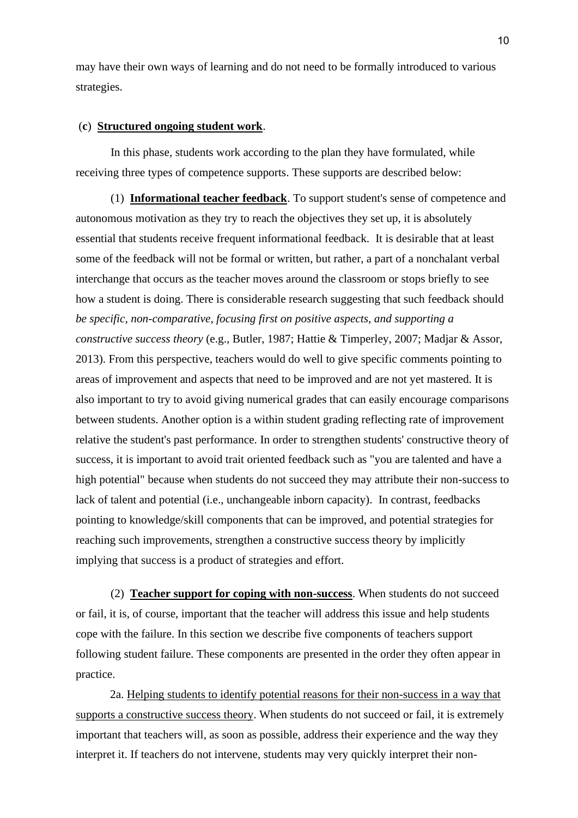may have their own ways of learning and do not need to be formally introduced to various strategies.

#### (**c**) **Structured ongoing student work**.

In this phase, students work according to the plan they have formulated, while receiving three types of competence supports. These supports are described below:

(1) **Informational teacher feedback**. To support student's sense of competence and autonomous motivation as they try to reach the objectives they set up, it is absolutely essential that students receive frequent informational feedback. It is desirable that at least some of the feedback will not be formal or written, but rather, a part of a nonchalant verbal interchange that occurs as the teacher moves around the classroom or stops briefly to see how a student is doing. There is considerable research suggesting that such feedback should *be specific, non-comparative, focusing first on positive aspects, and supporting a constructive success theory* (e.g., Butler, 1987; Hattie & Timperley, 2007; Madjar & Assor, 2013). From this perspective, teachers would do well to give specific comments pointing to areas of improvement and aspects that need to be improved and are not yet mastered. It is also important to try to avoid giving numerical grades that can easily encourage comparisons between students. Another option is a within student grading reflecting rate of improvement relative the student's past performance. In order to strengthen students' constructive theory of success, it is important to avoid trait oriented feedback such as "you are talented and have a high potential" because when students do not succeed they may attribute their non-success to lack of talent and potential (i.e., unchangeable inborn capacity). In contrast, feedbacks pointing to knowledge/skill components that can be improved, and potential strategies for reaching such improvements, strengthen a constructive success theory by implicitly implying that success is a product of strategies and effort.

(2) **Teacher support for coping with non-success**. When students do not succeed or fail, it is, of course, important that the teacher will address this issue and help students cope with the failure. In this section we describe five components of teachers support following student failure. These components are presented in the order they often appear in practice.

2a. Helping students to identify potential reasons for their non-success in a way that supports a constructive success theory. When students do not succeed or fail, it is extremely important that teachers will, as soon as possible, address their experience and the way they interpret it. If teachers do not intervene, students may very quickly interpret their non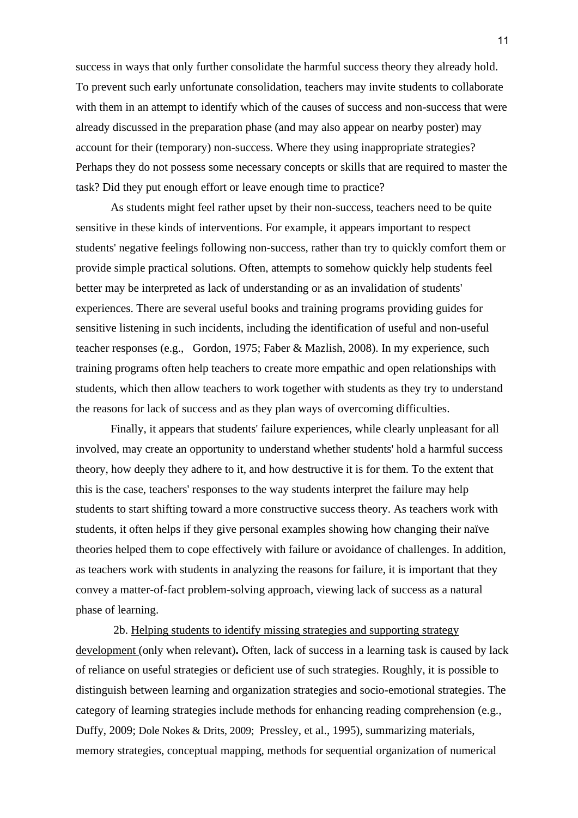success in ways that only further consolidate the harmful success theory they already hold. To prevent such early unfortunate consolidation, teachers may invite students to collaborate with them in an attempt to identify which of the causes of success and non-success that were already discussed in the preparation phase (and may also appear on nearby poster) may account for their (temporary) non-success. Where they using inappropriate strategies? Perhaps they do not possess some necessary concepts or skills that are required to master the task? Did they put enough effort or leave enough time to practice?

As students might feel rather upset by their non-success, teachers need to be quite sensitive in these kinds of interventions. For example, it appears important to respect students' negative feelings following non-success, rather than try to quickly comfort them or provide simple practical solutions. Often, attempts to somehow quickly help students feel better may be interpreted as lack of understanding or as an invalidation of students' experiences. There are several useful books and training programs providing guides for sensitive listening in such incidents, including the identification of useful and non-useful teacher responses (e.g., Gordon, 1975; Faber & Mazlish, 2008). In my experience, such training programs often help teachers to create more empathic and open relationships with students, which then allow teachers to work together with students as they try to understand the reasons for lack of success and as they plan ways of overcoming difficulties.

Finally, it appears that students' failure experiences, while clearly unpleasant for all involved, may create an opportunity to understand whether students' hold a harmful success theory, how deeply they adhere to it, and how destructive it is for them. To the extent that this is the case, teachers' responses to the way students interpret the failure may help students to start shifting toward a more constructive success theory. As teachers work with students, it often helps if they give personal examples showing how changing their naïve theories helped them to cope effectively with failure or avoidance of challenges. In addition, as teachers work with students in analyzing the reasons for failure, it is important that they convey a matter-of-fact problem-solving approach, viewing lack of success as a natural phase of learning.

2b. Helping students to identify missing strategies and supporting strategy development (only when relevant)**.** Often, lack of success in a learning task is caused by lack of reliance on useful strategies or deficient use of such strategies. Roughly, it is possible to distinguish between learning and organization strategies and socio-emotional strategies. The category of learning strategies include methods for enhancing reading comprehension (e.g., Duffy, 2009; Dole Nokes & Drits, 2009; Pressley, et al., 1995), summarizing materials, memory strategies, conceptual mapping, methods for sequential organization of numerical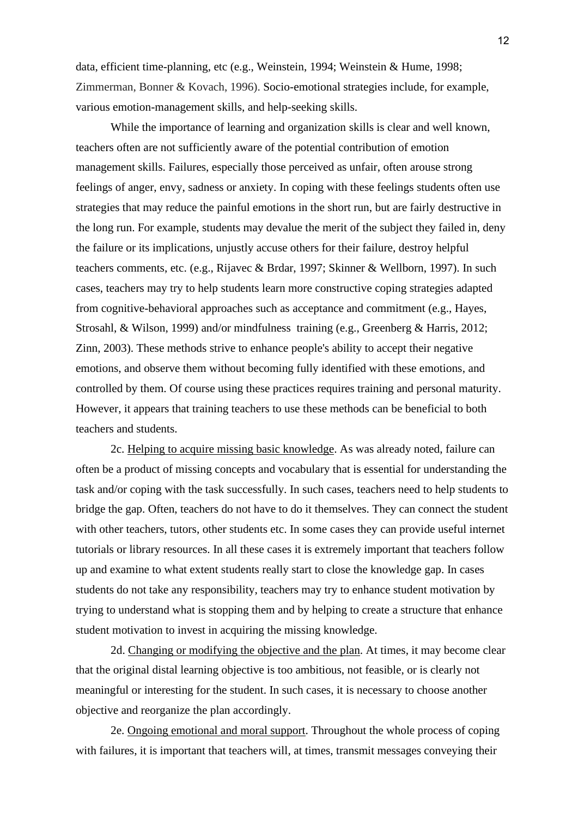data, efficient time-planning, etc (e.g., Weinstein, 1994; Weinstein & Hume, 1998; Zimmerman, Bonner & Kovach, 1996). Socio-emotional strategies include, for example, various emotion-management skills, and help-seeking skills.

While the importance of learning and organization skills is clear and well known, teachers often are not sufficiently aware of the potential contribution of emotion management skills. Failures, especially those perceived as unfair, often arouse strong feelings of anger, envy, sadness or anxiety. In coping with these feelings students often use strategies that may reduce the painful emotions in the short run, but are fairly destructive in the long run. For example, students may devalue the merit of the subject they failed in, deny the failure or its implications, unjustly accuse others for their failure, destroy helpful teachers comments, etc. (e.g., Rijavec & Brdar, 1997; Skinner & Wellborn, 1997). In such cases, teachers may try to help students learn more constructive coping strategies adapted from cognitive-behavioral approaches such as acceptance and commitment (e.g., Hayes, Strosahl, & Wilson, 1999) and/or mindfulness training (e.g., Greenberg & Harris, 2012; Zinn, 2003). These methods strive to enhance people's ability to accept their negative emotions, and observe them without becoming fully identified with these emotions, and controlled by them. Of course using these practices requires training and personal maturity. However, it appears that training teachers to use these methods can be beneficial to both teachers and students.

2c. Helping to acquire missing basic knowledge. As was already noted, failure can often be a product of missing concepts and vocabulary that is essential for understanding the task and/or coping with the task successfully. In such cases, teachers need to help students to bridge the gap. Often, teachers do not have to do it themselves. They can connect the student with other teachers, tutors, other students etc. In some cases they can provide useful internet tutorials or library resources. In all these cases it is extremely important that teachers follow up and examine to what extent students really start to close the knowledge gap. In cases students do not take any responsibility, teachers may try to enhance student motivation by trying to understand what is stopping them and by helping to create a structure that enhance student motivation to invest in acquiring the missing knowledge.

2d. Changing or modifying the objective and the plan. At times, it may become clear that the original distal learning objective is too ambitious, not feasible, or is clearly not meaningful or interesting for the student. In such cases, it is necessary to choose another objective and reorganize the plan accordingly.

2e. Ongoing emotional and moral support. Throughout the whole process of coping with failures, it is important that teachers will, at times, transmit messages conveying their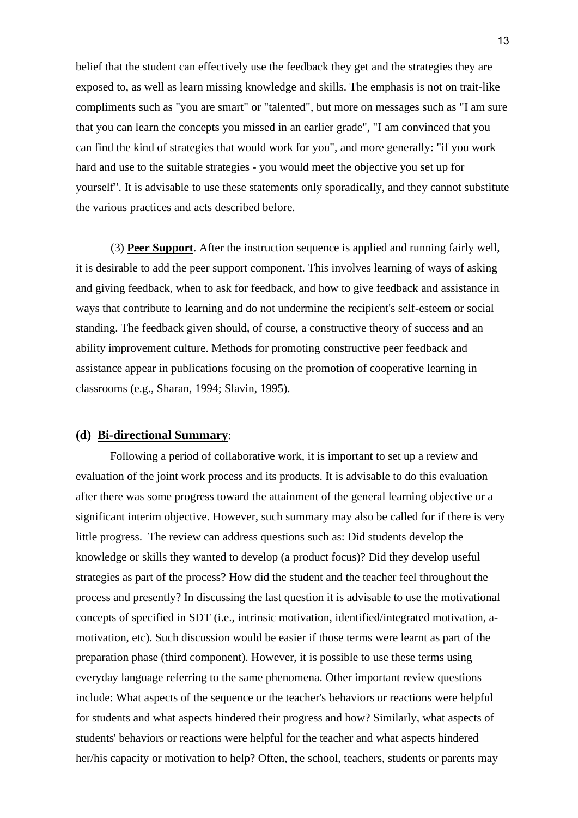belief that the student can effectively use the feedback they get and the strategies they are exposed to, as well as learn missing knowledge and skills. The emphasis is not on trait-like compliments such as "you are smart" or "talented", but more on messages such as "I am sure that you can learn the concepts you missed in an earlier grade", "I am convinced that you can find the kind of strategies that would work for you", and more generally: "if you work hard and use to the suitable strategies - you would meet the objective you set up for yourself". It is advisable to use these statements only sporadically, and they cannot substitute the various practices and acts described before.

(3) **Peer Support**. After the instruction sequence is applied and running fairly well, it is desirable to add the peer support component. This involves learning of ways of asking and giving feedback, when to ask for feedback, and how to give feedback and assistance in ways that contribute to learning and do not undermine the recipient's self-esteem or social standing. The feedback given should, of course, a constructive theory of success and an ability improvement culture. Methods for promoting constructive peer feedback and assistance appear in publications focusing on the promotion of cooperative learning in classrooms (e.g., Sharan, 1994; Slavin, 1995).

### **(d) Bi-directional Summary**:

Following a period of collaborative work, it is important to set up a review and evaluation of the joint work process and its products. It is advisable to do this evaluation after there was some progress toward the attainment of the general learning objective or a significant interim objective. However, such summary may also be called for if there is very little progress. The review can address questions such as: Did students develop the knowledge or skills they wanted to develop (a product focus)? Did they develop useful strategies as part of the process? How did the student and the teacher feel throughout the process and presently? In discussing the last question it is advisable to use the motivational concepts of specified in SDT (i.e., intrinsic motivation, identified/integrated motivation, amotivation, etc). Such discussion would be easier if those terms were learnt as part of the preparation phase (third component). However, it is possible to use these terms using everyday language referring to the same phenomena. Other important review questions include: What aspects of the sequence or the teacher's behaviors or reactions were helpful for students and what aspects hindered their progress and how? Similarly, what aspects of students' behaviors or reactions were helpful for the teacher and what aspects hindered her/his capacity or motivation to help? Often, the school, teachers, students or parents may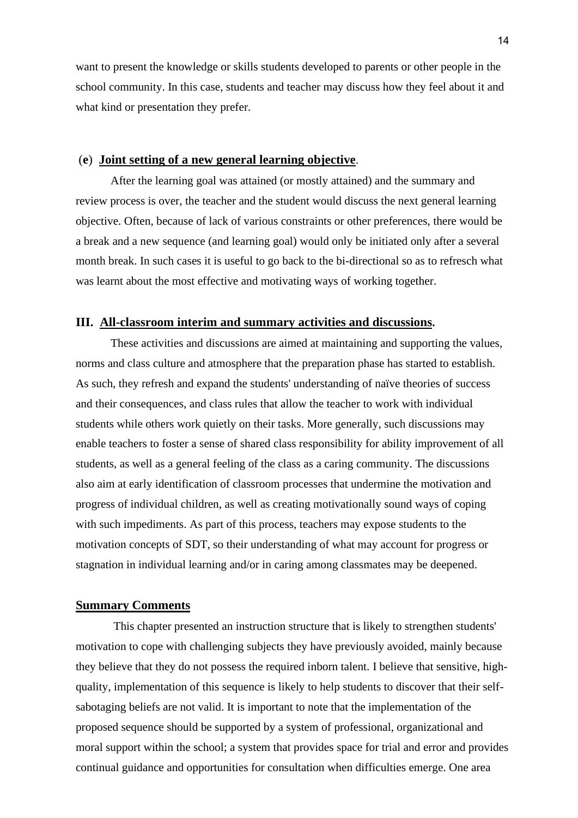want to present the knowledge or skills students developed to parents or other people in the school community. In this case, students and teacher may discuss how they feel about it and what kind or presentation they prefer.

### (**e**) **Joint setting of a new general learning objective**.

After the learning goal was attained (or mostly attained) and the summary and review process is over, the teacher and the student would discuss the next general learning objective. Often, because of lack of various constraints or other preferences, there would be a break and a new sequence (and learning goal) would only be initiated only after a several month break. In such cases it is useful to go back to the bi-directional so as to refresch what was learnt about the most effective and motivating ways of working together.

#### **III. All-classroom interim and summary activities and discussions.**

These activities and discussions are aimed at maintaining and supporting the values, norms and class culture and atmosphere that the preparation phase has started to establish. As such, they refresh and expand the students' understanding of naïve theories of success and their consequences, and class rules that allow the teacher to work with individual students while others work quietly on their tasks. More generally, such discussions may enable teachers to foster a sense of shared class responsibility for ability improvement of all students, as well as a general feeling of the class as a caring community. The discussions also aim at early identification of classroom processes that undermine the motivation and progress of individual children, as well as creating motivationally sound ways of coping with such impediments. As part of this process, teachers may expose students to the motivation concepts of SDT, so their understanding of what may account for progress or stagnation in individual learning and/or in caring among classmates may be deepened.

### **Summary Comments**

This chapter presented an instruction structure that is likely to strengthen students' motivation to cope with challenging subjects they have previously avoided, mainly because they believe that they do not possess the required inborn talent. I believe that sensitive, highquality, implementation of this sequence is likely to help students to discover that their selfsabotaging beliefs are not valid. It is important to note that the implementation of the proposed sequence should be supported by a system of professional, organizational and moral support within the school; a system that provides space for trial and error and provides continual guidance and opportunities for consultation when difficulties emerge. One area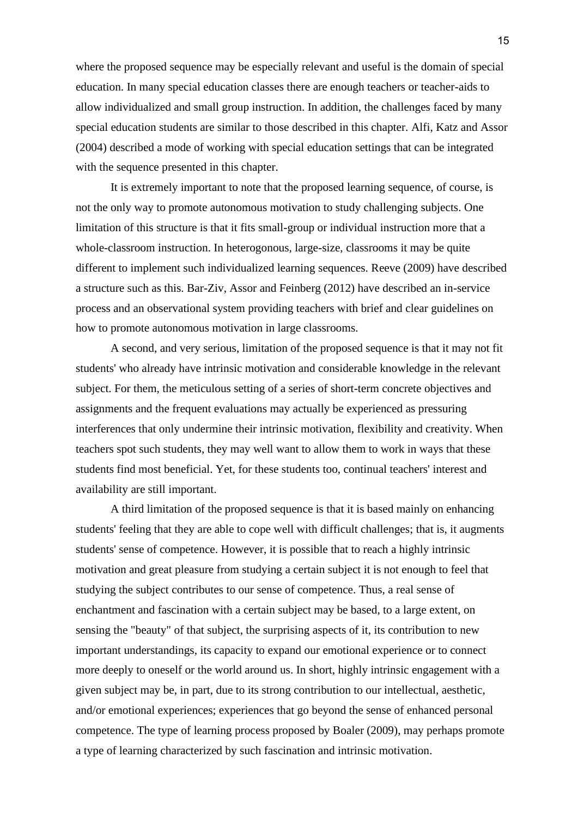where the proposed sequence may be especially relevant and useful is the domain of special education. In many special education classes there are enough teachers or teacher-aids to allow individualized and small group instruction. In addition, the challenges faced by many special education students are similar to those described in this chapter. Alfi, Katz and Assor (2004) described a mode of working with special education settings that can be integrated with the sequence presented in this chapter.

It is extremely important to note that the proposed learning sequence, of course, is not the only way to promote autonomous motivation to study challenging subjects. One limitation of this structure is that it fits small-group or individual instruction more that a whole-classroom instruction. In heterogonous, large-size, classrooms it may be quite different to implement such individualized learning sequences. Reeve (2009) have described a structure such as this. Bar-Ziv, Assor and Feinberg (2012) have described an in-service process and an observational system providing teachers with brief and clear guidelines on how to promote autonomous motivation in large classrooms.

A second, and very serious, limitation of the proposed sequence is that it may not fit students' who already have intrinsic motivation and considerable knowledge in the relevant subject. For them, the meticulous setting of a series of short-term concrete objectives and assignments and the frequent evaluations may actually be experienced as pressuring interferences that only undermine their intrinsic motivation, flexibility and creativity. When teachers spot such students, they may well want to allow them to work in ways that these students find most beneficial. Yet, for these students too, continual teachers' interest and availability are still important.

A third limitation of the proposed sequence is that it is based mainly on enhancing students' feeling that they are able to cope well with difficult challenges; that is, it augments students' sense of competence. However, it is possible that to reach a highly intrinsic motivation and great pleasure from studying a certain subject it is not enough to feel that studying the subject contributes to our sense of competence. Thus, a real sense of enchantment and fascination with a certain subject may be based, to a large extent, on sensing the "beauty" of that subject, the surprising aspects of it, its contribution to new important understandings, its capacity to expand our emotional experience or to connect more deeply to oneself or the world around us. In short, highly intrinsic engagement with a given subject may be, in part, due to its strong contribution to our intellectual, aesthetic, and/or emotional experiences; experiences that go beyond the sense of enhanced personal competence. The type of learning process proposed by Boaler (2009), may perhaps promote a type of learning characterized by such fascination and intrinsic motivation.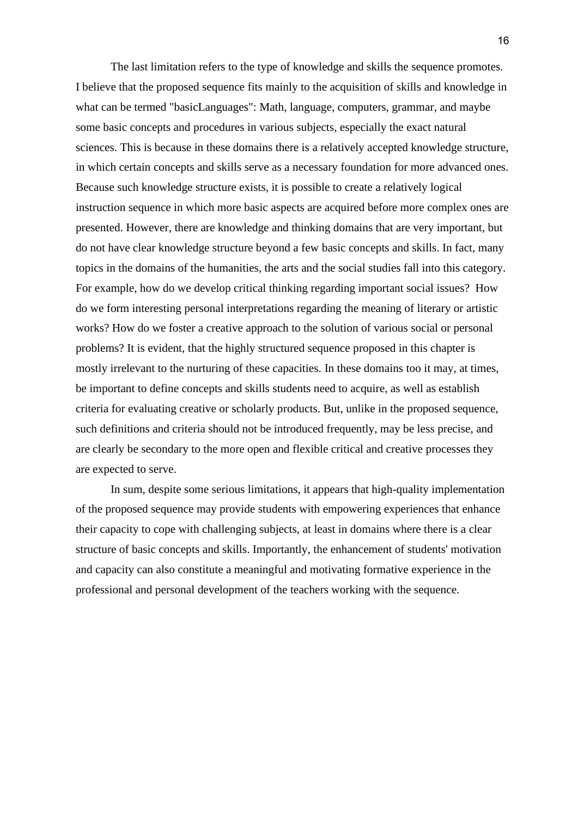The last limitation refers to the type of knowledge and skills the sequence promotes. I believe that the proposed sequence fits mainly to the acquisition of skills and knowledge in what can be termed "basicLanguages": Math, language, computers, grammar, and maybe some basic concepts and procedures in various subjects, especially the exact natural sciences. This is because in these domains there is a relatively accepted knowledge structure, in which certain concepts and skills serve as a necessary foundation for more advanced ones. Because such knowledge structure exists, it is possible to create a relatively logical instruction sequence in which more basic aspects are acquired before more complex ones are presented. However, there are knowledge and thinking domains that are very important, but do not have clear knowledge structure beyond a few basic concepts and skills. In fact, many topics in the domains of the humanities, the arts and the social studies fall into this category. For example, how do we develop critical thinking regarding important social issues? How do we form interesting personal interpretations regarding the meaning of literary or artistic works? How do we foster a creative approach to the solution of various social or personal problems? It is evident, that the highly structured sequence proposed in this chapter is mostly irrelevant to the nurturing of these capacities. In these domains too it may, at times, be important to define concepts and skills students need to acquire, as well as establish criteria for evaluating creative or scholarly products. But, unlike in the proposed sequence, such definitions and criteria should not be introduced frequently, may be less precise, and are clearly be secondary to the more open and flexible critical and creative processes they are expected to serve.

In sum, despite some serious limitations, it appears that high-quality implementation of the proposed sequence may provide students with empowering experiences that enhance their capacity to cope with challenging subjects, at least in domains where there is a clear structure of basic concepts and skills. Importantly, the enhancement of students' motivation and capacity can also constitute a meaningful and motivating formative experience in the professional and personal development of the teachers working with the sequence.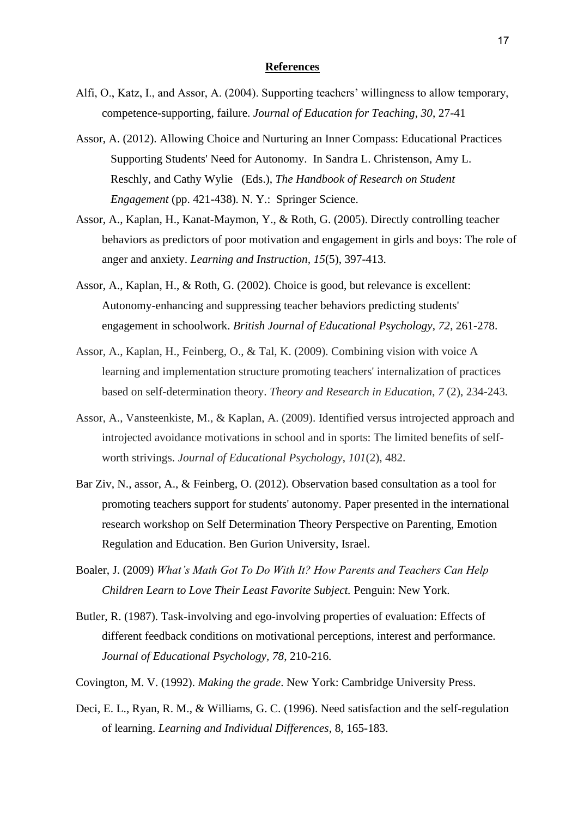#### **References**

- Alfi, O., Katz, I., and Assor, A. (2004). Supporting teachers' willingness to allow temporary, competence-supporting, failure. *Journal of Education for Teaching, 30*, 27-41
- Assor, A. (2012). Allowing Choice and Nurturing an Inner Compass: Educational Practices Supporting Students' Need for Autonomy. In Sandra L. Christenson, Amy L. Reschly, and Cathy Wylie (Eds.), *The Handbook of Research on Student Engagement* (pp. 421-438)*.* N. Y.: Springer Science.
- Assor, A., Kaplan, H., Kanat-Maymon, Y., & Roth, G. (2005). Directly controlling teacher behaviors as predictors of poor motivation and engagement in girls and boys: The role of anger and anxiety. *Learning and Instruction, 15*(5), 397-413.
- Assor, A., Kaplan, H., & Roth, G. (2002). Choice is good, but relevance is excellent: Autonomy-enhancing and suppressing teacher behaviors predicting students' engagement in schoolwork. *British Journal of Educational Psychology*, *72*, 261-278.
- Assor, A., Kaplan, H., Feinberg, O., & Tal, K. (2009). Combining vision with voice A learning and implementation structure promoting teachers' internalization of practices based on self-determination theory. *Theory and Research in Education*, *7* (2), 234-243.
- Assor, A., Vansteenkiste, M., & Kaplan, A. (2009). Identified versus introjected approach and introjected avoidance motivations in school and in sports: The limited benefits of selfworth strivings. *Journal of Educational Psychology*, *101*(2), 482.
- Bar Ziv, N., assor, A., & Feinberg, O. (2012). Observation based consultation as a tool for promoting teachers support for students' autonomy. Paper presented in the international research workshop on Self Determination Theory Perspective on Parenting, Emotion Regulation and Education. Ben Gurion University, Israel.
- Boaler, J. (2009) *What's Math Got To Do With It? How Parents and Teachers Can Help Children Learn to Love Their Least Favorite Subject.* Penguin: New York.
- Butler, R. (1987). Task-involving and ego-involving properties of evaluation: Effects of different feedback conditions on motivational perceptions, interest and performance. *Journal of Educational Psychology, 78*, 210-216.
- Covington, M. V. (1992). *Making the grade*. New York: Cambridge University Press.
- Deci, E. L., Ryan, R. M., & Williams, G. C. (1996). Need satisfaction and the self-regulation of learning. *Learning and Individual Differences*, 8, 165-183.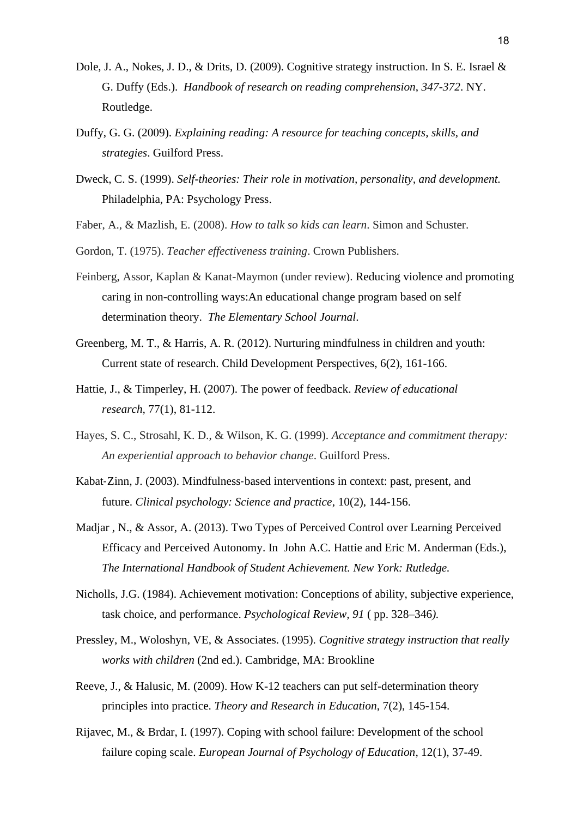- Dole, J. A., Nokes, J. D., & Drits, D. (2009). Cognitive strategy instruction. In S. E. Israel & G. Duffy (Eds.). *Handbook of research on reading comprehension*, *347-372*. NY. Routledge.
- Duffy, G. G. (2009). *Explaining reading: A resource for teaching concepts, skills, and strategies*. Guilford Press.
- Dweck, C. S. (1999). *Self-theories: Their role in motivation, personality, and development.* Philadelphia, PA: Psychology Press.
- Faber, A., & Mazlish, E. (2008). *How to talk so kids can learn*. Simon and Schuster.
- Gordon, T. (1975). *Teacher effectiveness training*. Crown Publishers.
- Feinberg, Assor, Kaplan & Kanat-Maymon (under review). Reducing violence and promoting caring in non-controlling ways:An educational change program based on self determination theory. *The Elementary School Journal*.
- Greenberg, M. T., & Harris, A. R. (2012). Nurturing mindfulness in children and youth: Current state of research. Child Development Perspectives, 6(2), 161-166.
- Hattie, J., & Timperley, H. (2007). The power of feedback. *Review of educational research,* 77(1), 81-112.
- Hayes, S. C., Strosahl, K. D., & Wilson, K. G. (1999). *Acceptance and commitment therapy: An experiential approach to behavior change*. Guilford Press.
- Kabat-Zinn, J. (2003). Mindfulness-based interventions in context: past, present, and future. *Clinical psychology: Science and practice*, 10(2), 144-156.
- Madjar , N., & Assor, A. (2013). Two Types of Perceived Control over Learning Perceived Efficacy and Perceived Autonomy. In John A.C. Hattie and Eric M. Anderman (Eds.), *The International Handbook of Student Achievement. New York: Rutledge.*
- Nicholls, J.G. (1984). Achievement motivation: Conceptions of ability, subjective experience, task choice, and performance. *Psychological Review, 91* ( pp. 328–346*).*
- Pressley, M., Woloshyn, VE, & Associates. (1995). *Cognitive strategy instruction that really works with children* (2nd ed.). Cambridge, MA: Brookline
- Reeve, J., & Halusic, M. (2009). How K-12 teachers can put self-determination theory principles into practice. *Theory and Research in Education*, 7(2), 145-154.
- Rijavec, M., & Brdar, I. (1997). Coping with school failure: Development of the school failure coping scale. *European Journal of Psychology of Education*, 12(1), 37-49.